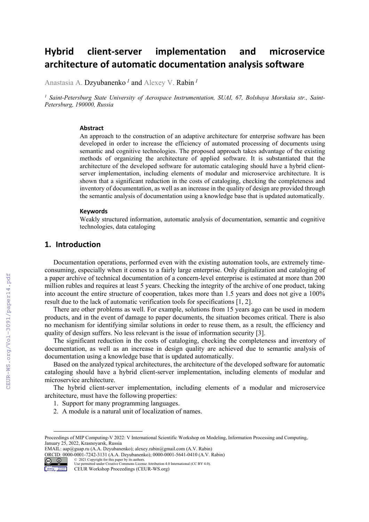# **Hybrid client‐server implementation and microservice architecture of automatic documentation analysis software**

Anastasia A. Dzyubanenko<sup>1</sup> and Alexey V. Rabin<sup>1</sup>

<sup>1</sup> Saint-Petersburg State University of Aerospace Instrumentation, SUAI, 67, Bolshaya Morskaia str., Saint-*Petersburg, 190000, Russia* 

#### **Abstract**

An approach to the construction of an adaptive architecture for enterprise software has been developed in order to increase the efficiency of automated processing of documents using semantic and cognitive technologies. The proposed approach takes advantage of the existing methods of organizing the architecture of applied software. It is substantiated that the architecture of the developed software for automatic cataloging should have a hybrid clientserver implementation, including elements of modular and microservice architecture. It is shown that a significant reduction in the costs of cataloging, checking the completeness and inventory of documentation, as well as an increase in the quality of design are provided through the semantic analysis of documentation using a knowledge base that is updated automatically.

#### **Keywords**

Weakly structured information, automatic analysis of documentation, semantic and cognitive technologies, data cataloging

### **1. Introduction**

Documentation operations, performed even with the existing automation tools, are extremely timeconsuming, especially when it comes to a fairly large enterprise. Only digitalization and cataloging of a paper archive of technical documentation of a concern-level enterprise is estimated at more than 200 million rubles and requires at least 5 years. Checking the integrity of the archive of one product, taking into account the entire structure of cooperation, takes more than 1.5 years and does not give a 100% result due to the lack of automatic verification tools for specifications [1, 2].

There are other problems as well. For example, solutions from 15 years ago can be used in modern products, and in the event of damage to paper documents, the situation becomes critical. There is also no mechanism for identifying similar solutions in order to reuse them, as a result, the efficiency and quality of design suffers. No less relevant is the issue of information security [3].

The significant reduction in the costs of cataloging, checking the completeness and inventory of documentation, as well as an increase in design quality are achieved due to semantic analysis of documentation using a knowledge base that is updated automatically.

Based on the analyzed typical architectures, the architecture of the developed software for automatic cataloging should have a hybrid client-server implementation, including elements of modular and microservice architecture.

The hybrid client-server implementation, including elements of a modular and microservice architecture, must have the following properties:

- 1. Support for many programming languages.
- 2. A module is a natural unit of localization of names.

EMAIL: aap@guap.ru (A.A. Dzyubanenko); alexey.rabin@gmail.com (A.V. Rabin) ORCID: 0000-0001-7242-3131 (A.A. Dzyubanenko); 0000-0001-5641-0410 (A.V. Rabin) © 2021 Copyright for this paper by its authors.



CEUR-WS.org/Vol-3091/paper14.pdf

Proceedings of MIP Computing-V 2022: V International Scientific Workshop on Modeling, Information Processing and Computing, January 25, 2022, Krasnoyarsk, Russia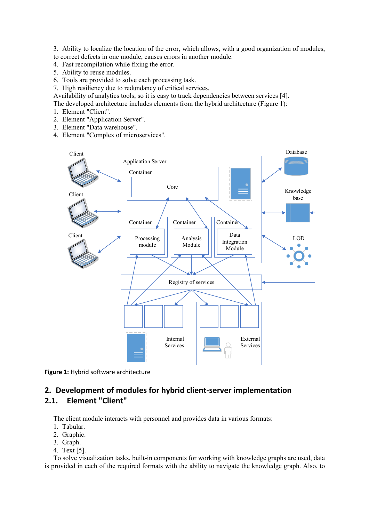3. Ability to localize the location of the error, which allows, with a good organization of modules, to correct defects in one module, causes errors in another module.

- 4. Fast recompilation while fixing the error.
- 5. Ability to reuse modules.
- 6. Tools are provided to solve each processing task.
- 7. High resiliency due to redundancy of critical services.

Availability of analytics tools, so it is easy to track dependencies between services [4].

The developed architecture includes elements from the hybrid architecture (Figure 1):

- 1. Element "Client".
- 2. Element "Application Server".
- 3. Element "Data warehouse".
- 4. Element "Complex of microservices".



**Figure 1:** Hybrid software architecture

# **2. Development of modules for hybrid client‐server implementation 2.1. Element "Client"**

The client module interacts with personnel and provides data in various formats:

- 1. Tabular.
- 2. Graphic.
- 3. Graph.
- 4. Text [5].

To solve visualization tasks, built-in components for working with knowledge graphs are used, data is provided in each of the required formats with the ability to navigate the knowledge graph. Also, to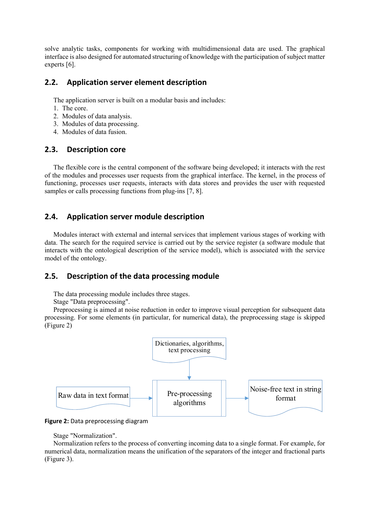solve analytic tasks, components for working with multidimensional data are used. The graphical interface is also designed for automated structuring of knowledge with the participation of subject matter experts [6].

### **2.2. Application server element description**

The application server is built on a modular basis and includes:

- 1. The core.
- 2. Modules of data analysis.
- 3. Modules of data processing.
- 4. Modules of data fusion.

#### **2.3. Description core**

The flexible core is the central component of the software being developed; it interacts with the rest of the modules and processes user requests from the graphical interface. The kernel, in the process of functioning, processes user requests, interacts with data stores and provides the user with requested samples or calls processing functions from plug-ins [7, 8].

# **2.4. Application server module description**

Modules interact with external and internal services that implement various stages of working with data. The search for the required service is carried out by the service register (a software module that interacts with the ontological description of the service model), which is associated with the service model of the ontology.

# **2.5. Description of the data processing module**

The data processing module includes three stages.

Stage "Data preprocessing".

Preprocessing is aimed at noise reduction in order to improve visual perception for subsequent data processing. For some elements (in particular, for numerical data), the preprocessing stage is skipped (Figure 2)



**Figure 2:** Data preprocessing diagram

Stage "Normalization".

Normalization refers to the process of converting incoming data to a single format. For example, for numerical data, normalization means the unification of the separators of the integer and fractional parts (Figure 3).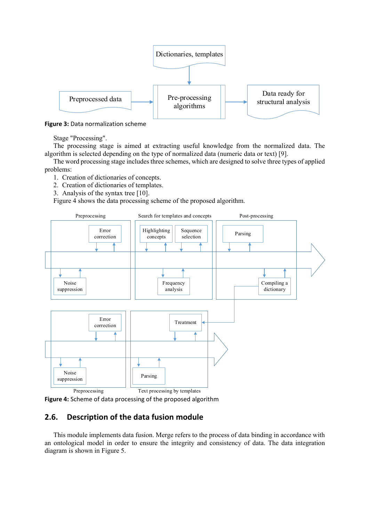

**Figure 3:** Data normalization scheme

Stage "Processing".

The processing stage is aimed at extracting useful knowledge from the normalized data. The algorithm is selected depending on the type of normalized data (numeric data or text) [9].

The word processing stage includes three schemes, which are designed to solve three types of applied problems:

- 1. Creation of dictionaries of concepts.
- 2. Creation of dictionaries of templates.
- 3. Analysis of the syntax tree [10].

Figure 4 shows the data processing scheme of the proposed algorithm.



**Figure 4:** Scheme of data processing of the proposed algorithm

# **2.6. Description of the data fusion module**

This module implements data fusion. Merge refers to the process of data binding in accordance with an ontological model in order to ensure the integrity and consistency of data. The data integration diagram is shown in Figure 5.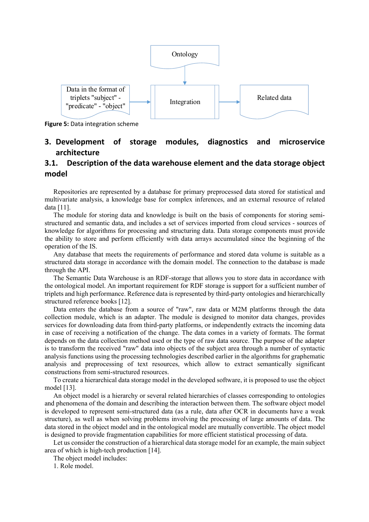

**Figure 5:** Data integration scheme

# **3. Development of storage modules, diagnostics and microservice architecture**

# **3.1. Description of the data warehouse element and the data storage object model**

Repositories are represented by a database for primary preprocessed data stored for statistical and multivariate analysis, a knowledge base for complex inferences, and an external resource of related data [11].

The module for storing data and knowledge is built on the basis of components for storing semistructured and semantic data, and includes a set of services imported from cloud services - sources of knowledge for algorithms for processing and structuring data. Data storage components must provide the ability to store and perform efficiently with data arrays accumulated since the beginning of the operation of the IS.

Any database that meets the requirements of performance and stored data volume is suitable as a structured data storage in accordance with the domain model. The connection to the database is made through the API.

The Semantic Data Warehouse is an RDF-storage that allows you to store data in accordance with the ontological model. An important requirement for RDF storage is support for a sufficient number of triplets and high performance. Reference data is represented by third-party ontologies and hierarchically structured reference books [12].

Data enters the database from a source of "raw", raw data or M2M platforms through the data collection module, which is an adapter. The module is designed to monitor data changes, provides services for downloading data from third-party platforms, or independently extracts the incoming data in case of receiving a notification of the change. The data comes in a variety of formats. The format depends on the data collection method used or the type of raw data source. The purpose of the adapter is to transform the received "raw" data into objects of the subject area through a number of syntactic analysis functions using the processing technologies described earlier in the algorithms for graphematic analysis and preprocessing of text resources, which allow to extract semantically significant constructions from semi-structured resources.

To create a hierarchical data storage model in the developed software, it is proposed to use the object model [13].

An object model is a hierarchy or several related hierarchies of classes corresponding to ontologies and phenomena of the domain and describing the interaction between them. The software object model is developed to represent semi-structured data (as a rule, data after OCR in documents have a weak structure), as well as when solving problems involving the processing of large amounts of data. The data stored in the object model and in the ontological model are mutually convertible. The object model is designed to provide fragmentation capabilities for more efficient statistical processing of data.

Let us consider the construction of a hierarchical data storage model for an example, the main subject area of which is high-tech production [14].

The object model includes:

1. Role model.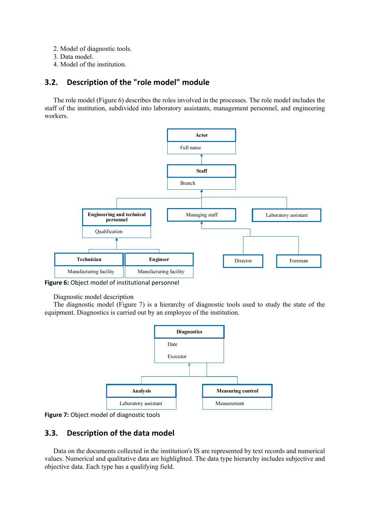- 2. Model of diagnostic tools.
- 3. Data model.
- 4. Model of the institution.

# **3.2. Description of the "role model" module**

The role model (Figure 6) describes the roles involved in the processes. The role model includes the staff of the institution, subdivided into laboratory assistants, management personnel, and engineering workers.



**Figure 6:** Object model of institutional personnel

Diagnostic model description

The diagnostic model (Figure 7) is a hierarchy of diagnostic tools used to study the state of the equipment. Diagnostics is carried out by an employee of the institution.



**Figure 7:** Object model of diagnostic tools

# **3.3. Description of the data model**

Data on the documents collected in the institution's IS are represented by text records and numerical values. Numerical and qualitative data are highlighted. The data type hierarchy includes subjective and objective data. Each type has a qualifying field.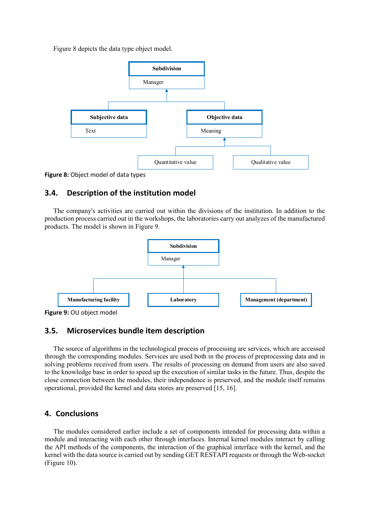Figure 8 depicts the data type object model.



**Figure 8:** Object model of data types

# **3.4. Description of the institution model**

The company's activities are carried out within the divisions of the institution. In addition to the production process carried out in the workshops, the laboratories carry out analyzes of the manufactured products. The model is shown in Figure 9.



**Figure 9:** OU object model

# **3.5. Microservices bundle item description**

The source of algorithms in the technological process of processing are services, which are accessed through the corresponding modules. Services are used both in the process of preprocessing data and in solving problems received from users. The results of processing on demand from users are also saved to the knowledge base in order to speed up the execution of similar tasks in the future. Thus, despite the close connection between the modules, their independence is preserved, and the module itself remains operational, provided the kernel and data stores are preserved [15, 16].

# **4. Conclusions**

The modules considered earlier include a set of components intended for processing data within a module and interacting with each other through interfaces. Internal kernel modules interact by calling the API methods of the components, the interaction of the graphical interface with the kernel, and the kernel with the data source is carried out by sending GET RESTAPI requests or through the Web-socket (Figure 10).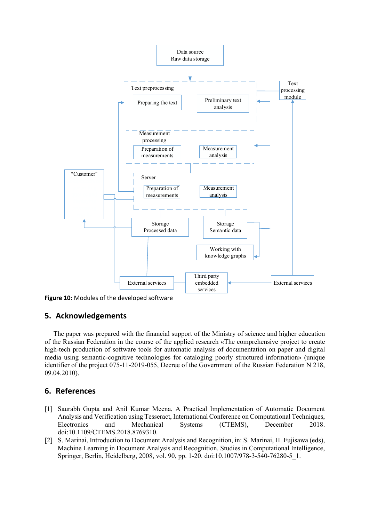

**Figure 10:** Modules of the developed software

#### **5. Acknowledgements**

The paper was prepared with the financial support of the Ministry of science and higher education of the Russian Federation in the course of the applied research «The comprehensive project to create high-tech production of software tools for automatic analysis of documentation on paper and digital media using semantic-cognitive technologies for cataloging poorly structured information» (unique identifier of the project 075-11-2019-055, Decree of the Government of the Russian Federation N 218, 09.04.2010).

# **6. References**

- [1] Saurabh Gupta and Anil Kumar Meena, A Practical Implementation of Automatic Document Analysis and Verification using Tesseract, International Conference on Computational Techniques, Electronics and Mechanical Systems (CTEMS), December 2018. doi:10.1109/CTEMS.2018.8769310.
- [2] S. Marinai, Introduction to Document Analysis and Recognition, in: S. Marinai, H. Fujisawa (eds), Machine Learning in Document Analysis and Recognition. Studies in Computational Intelligence, Springer, Berlin, Heidelberg, 2008, vol. 90, pp. 1-20. doi:10.1007/978-3-540-76280-5\_1.